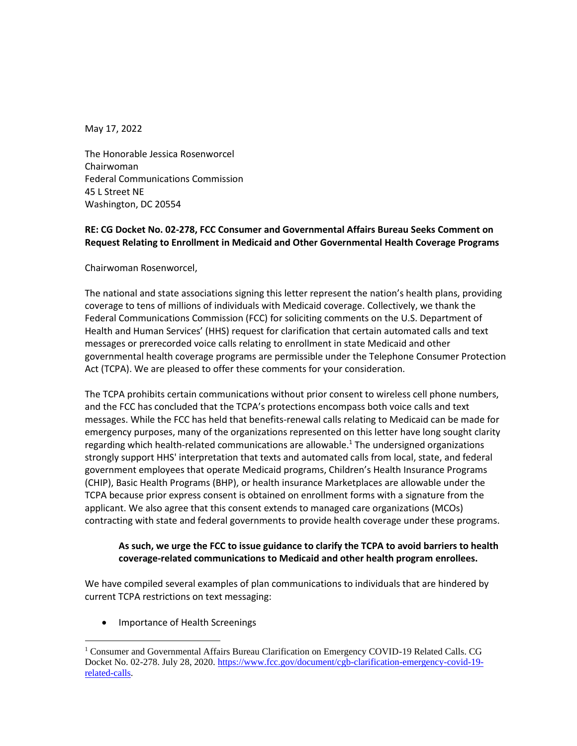May 17, 2022

The Honorable Jessica Rosenworcel Chairwoman Federal Communications Commission 45 L Street NE Washington, DC 20554

## **RE: CG Docket No. 02-278, FCC Consumer and Governmental Affairs Bureau Seeks Comment on Request Relating to Enrollment in Medicaid and Other Governmental Health Coverage Programs**

Chairwoman Rosenworcel,  

The national and state associations signing this letter represent the nation's health plans, providing coverage to tens of millions of individuals with Medicaid coverage. Collectively, we thank the Federal Communications Commission (FCC) for soliciting comments on the U.S. Department of Health and Human Services' (HHS) request for clarification that certain automated calls and text messages or prerecorded voice calls relating to enrollment in state Medicaid and other governmental health coverage programs are permissible under the Telephone Consumer Protection Act (TCPA). We are pleased to offer these comments for your consideration.

The TCPA prohibits certain communications without prior consent to wireless cell phone numbers, and the FCC has concluded that the TCPA's protections encompass both voice calls and text messages. While the FCC has held that benefits-renewal calls relating to Medicaid can be made for emergency purposes, many of the organizations represented on this letter have long sought clarity regarding which health-related communications are allowable. <sup>1</sup> The undersigned organizations strongly support HHS' interpretation that texts and automated calls from local, state, and federal government employees that operate Medicaid programs, Children's Health Insurance Programs (CHIP), Basic Health Programs (BHP), or health insurance Marketplaces are allowable under the TCPA because prior express consent is obtained on enrollment forms with a signature from the applicant. We also agree that this consent extends to managed care organizations (MCOs) contracting with state and federal governments to provide health coverage under these programs.

## **As such, we urge the FCC to issue guidance to clarify the TCPA to avoid barriers to health coverage-related communications to Medicaid and other health program enrollees.**

We have compiled several examples of plan communications to individuals that are hindered by current TCPA restrictions on text messaging:

• Importance of Health Screenings

<sup>1</sup> Consumer and Governmental Affairs Bureau Clarification on Emergency COVID-19 Related Calls. CG Docket No. 02-278. July 28, 2020. [https://www.fcc.gov/document/cgb-clarification-emergency-covid-19](https://www.fcc.gov/document/cgb-clarification-emergency-covid-19-related-calls) [related-calls.](https://www.fcc.gov/document/cgb-clarification-emergency-covid-19-related-calls)